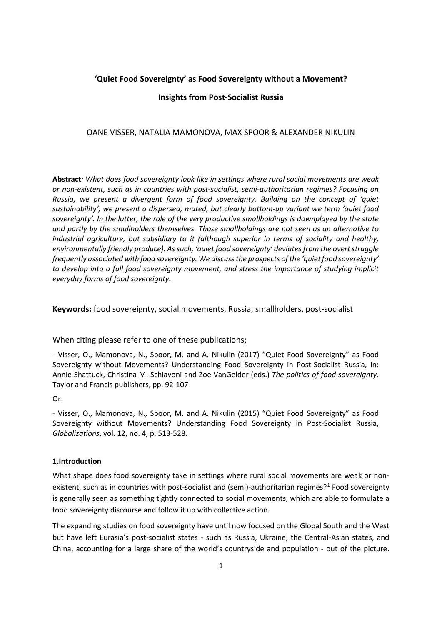# **'Quiet Food Sovereignty' as Food Sovereignty without a Movement?**

# **Insights from Post-Socialist Russia**

## OANE VISSER, NATALIA MAMONOVA, MAX SPOOR & ALEXANDER NIKULIN

**Abstract***: What does food sovereignty look like in settings where rural social movements are weak or non-existent, such as in countries with post-socialist, semi-authoritarian regimes? Focusing on Russia, we present a divergent form of food sovereignty. Building on the concept of 'quiet sustainability', we present a dispersed, muted, but clearly bottom-up variant we term 'quiet food sovereignty'. In the latter, the role of the very productive smallholdings is downplayed by the state and partly by the smallholders themselves. Those smallholdings are not seen as an alternative to industrial agriculture, but subsidiary to it (although superior in terms of sociality and healthy, environmentally friendly produce). As such, 'quiet food sovereignty' deviates from the overt struggle frequently associated with food sovereignty. We discuss the prospects of the 'quiet food sovereignty' to develop into a full food sovereignty movement, and stress the importance of studying implicit everyday forms of food sovereignty.* 

**Keywords:** food sovereignty, social movements, Russia, smallholders, post-socialist

When citing please refer to one of these publications;

- Visser, O., Mamonova, N., Spoor, M. and A. Nikulin (2017) "Quiet Food Sovereignty" as Food Sovereignty without Movements? Understanding Food Sovereignty in Post-Socialist Russia, in: Annie Shattuck, Christina M. Schiavoni and Zoe VanGelder (eds.) *The politics of food sovereignty*. Taylor and Francis publishers, pp. 92-107

## Or:

- Visser, O., Mamonova, N., Spoor, M. and A. Nikulin (2015) "Quiet Food Sovereignty" as Food Sovereignty without Movements? Understanding Food Sovereignty in Post-Socialist Russia, *Globalizations*, vol. 12, no. 4, p. 513-528.

## **1.Introduction**

What shape does food sovereignty take in settings where rural social movements are weak or non-existent, such as in countries with post-socialist and (semi)-authoritarian regimes?<sup>[1](#page-15-0)</sup> Food sovereignty is generally seen as something tightly connected to social movements, which are able to formulate a food sovereignty discourse and follow it up with collective action.

The expanding studies on food sovereignty have until now focused on the Global South and the West but have left Eurasia's post-socialist states - such as Russia, Ukraine, the Central-Asian states, and China, accounting for a large share of the world's countryside and population - out of the picture.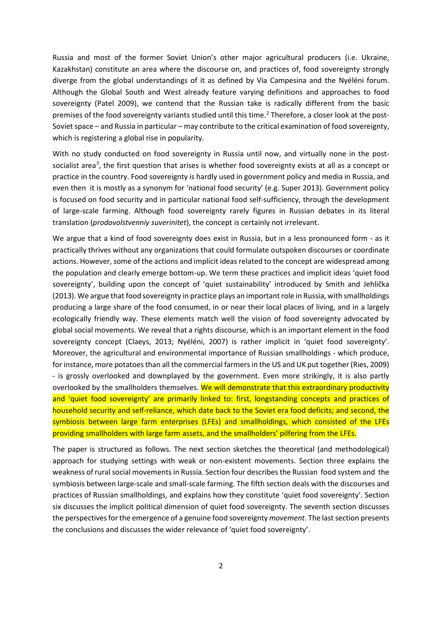Russia and most of the former Soviet Union's other major agricultural producers (i.e. Ukraine, Kazakhstan) constitute an area where the discourse on, and practices of, food sovereignty strongly diverge from the global understandings of it as defined by Via Campesina and the Nyéléni forum. Although the Global South and West already feature varying definitions and approaches to food sovereignty (Patel 2009), we contend that the Russian take is radically different from the basic premises of the food sovereignty variants studied until this time.<sup>[2](#page-15-1)</sup> Therefore, a closer look at the post-Soviet space – and Russia in particular – may contribute to the critical examination of food sovereignty, which is registering a global rise in popularity.

With no study conducted on food sovereignty in Russia until now, and virtually none in the post-socialist area<sup>[3](#page-15-2)</sup>, the first question that arises is whether food sovereignty exists at all as a concept or practice in the country. Food sovereignty is hardly used in government policy and media in Russia, and even then it is mostly as a synonym for 'national food security' (e.g. Super 2013). Government policy is focused on food security and in particular national food self-sufficiency, through the development of large-scale farming. Although food sovereignty rarely figures in Russian debates in its literal translation (*prodovolstvenniy suverinitet*), the concept is certainly not irrelevant.

We argue that a kind of food sovereignty does exist in Russia, but in a less pronounced form - as it practically thrives without any organizations that could formulate outspoken discourses or coordinate actions. However, some of the actions and implicit ideas related to the concept are widespread among the population and clearly emerge bottom-up. We term these practices and implicit ideas 'quiet food sovereignty', building upon the concept of 'quiet sustainability' introduced by Smith and Jehlička (2013). We argue that food sovereignty in practice plays an important role in Russia, with smallholdings producing a large share of the food consumed, in or near their local places of living, and in a largely ecologically friendly way. These elements match well the vision of food sovereignty advocated by global social movements. We reveal that a rights discourse, which is an important element in the food sovereignty concept (Claeys, 2013; Nyéléni, 2007) is rather implicit in 'quiet food sovereignty'. Moreover, the agricultural and environmental importance of Russian smallholdings - which produce, for instance, more potatoes than all the commercial farmers in the US and UK put together (Ries, 2009) - is grossly overlooked and downplayed by the government. Even more strikingly, it is also partly overlooked by the smallholders themselves. We will demonstrate that this extraordinary productivity and 'quiet food sovereignty' are primarily linked to: first, longstanding concepts and practices of household security and self-reliance, which date back to the Soviet era food deficits; and second, the symbiosis between large farm enterprises (LFEs) and smallholdings, which consisted of the LFEs providing smallholders with large farm assets, and the smallholders' pilfering from the LFEs.

The paper is structured as follows. The next section sketches the theoretical (and methodological) approach for studying settings with weak or non-existent movements. Section three explains the weakness of rural social movements in Russia. Section four describesthe Russian food system and the symbiosis between large-scale and small-scale farming. The fifth section deals with the discourses and practices of Russian smallholdings, and explains how they constitute 'quiet food sovereignty'. Section six discusses the implicit political dimension of quiet food sovereignty. The seventh section discusses the perspectives for the emergence of a genuine food sovereignty *movement*. The last section presents the conclusions and discusses the wider relevance of 'quiet food sovereignty'.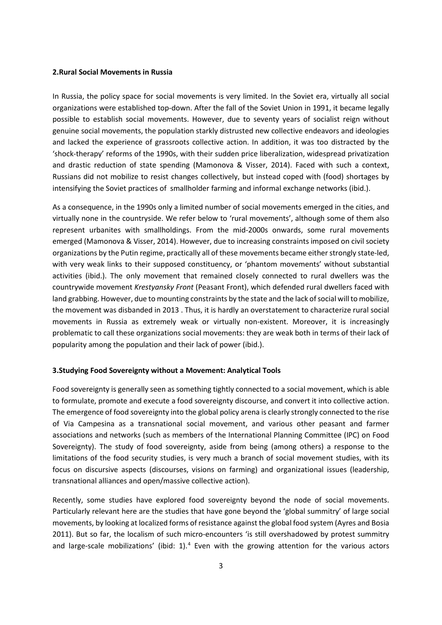### **2.Rural Social Movements in Russia**

In Russia, the policy space for social movements is very limited. In the Soviet era, virtually all social organizations were established top-down. After the fall of the Soviet Union in 1991, it became legally possible to establish social movements. However, due to seventy years of socialist reign without genuine social movements, the population starkly distrusted new collective endeavors and ideologies and lacked the experience of grassroots collective action. In addition, it was too distracted by the 'shock-therapy' reforms of the 1990s, with their sudden price liberalization, widespread privatization and drastic reduction of state spending (Mamonova & Visser, 2014). Faced with such a context, Russians did not mobilize to resist changes collectively, but instead coped with (food) shortages by intensifying the Soviet practices of smallholder farming and informal exchange networks (ibid.).

As a consequence, in the 1990s only a limited number of social movements emerged in the cities, and virtually none in the countryside. We refer below to 'rural movements', although some of them also represent urbanites with smallholdings. From the mid-2000s onwards, some rural movements emerged (Mamonova & Visser, 2014). However, due to increasing constraints imposed on civil society organizations by the Putin regime, practically all of these movements became either strongly state-led, with very weak links to their supposed constituency, or 'phantom movements' without substantial activities (ibid.). The only movement that remained closely connected to rural dwellers was the countrywide movement *Krestyansky Front* (Peasant Front), which defended rural dwellers faced with land grabbing. However, due to mounting constraints by the state and the lack of social will to mobilize, the movement was disbanded in 2013 . Thus, it is hardly an overstatement to characterize rural social movements in Russia as extremely weak or virtually non-existent. Moreover, it is increasingly problematic to call these organizations social movements: they are weak both in terms of their lack of popularity among the population and their lack of power (ibid.).

#### **3.Studying Food Sovereignty without a Movement: Analytical Tools**

Food sovereignty is generally seen as something tightly connected to a social movement, which is able to formulate, promote and execute a food sovereignty discourse, and convert it into collective action. The emergence of food sovereignty into the global policy arena is clearly strongly connected to the rise of Via Campesina as a transnational social movement, and various other peasant and farmer associations and networks (such as members of the International Planning Committee (IPC) on Food Sovereignty). The study of food sovereignty, aside from being (among others) a response to the limitations of the food security studies, is very much a branch of social movement studies, with its focus on discursive aspects (discourses, visions on farming) and organizational issues (leadership, transnational alliances and open/massive collective action).

Recently, some studies have explored food sovereignty beyond the node of social movements. Particularly relevant here are the studies that have gone beyond the 'global summitry' of large social movements, by looking at localized forms of resistance against the global food system (Ayres and Bosia 2011). But so far, the localism of such micro-encounters 'is still overshadowed by protest summitry and large-scale mobilizations' (ibid: 1).<sup>[4](#page-15-3)</sup> Even with the growing attention for the various actors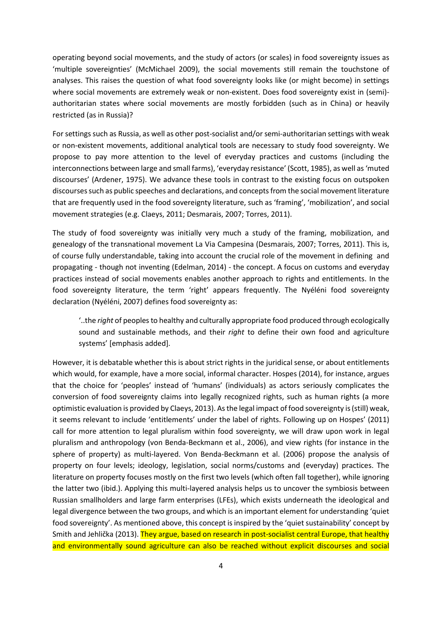operating beyond social movements, and the study of actors (or scales) in food sovereignty issues as 'multiple sovereignties' (McMichael 2009), the social movements still remain the touchstone of analyses. This raises the question of what food sovereignty looks like (or might become) in settings where social movements are extremely weak or non-existent. Does food sovereignty exist in (semi) authoritarian states where social movements are mostly forbidden (such as in China) or heavily restricted (as in Russia)?

For settings such as Russia, as well as other post-socialist and/or semi-authoritarian settings with weak or non-existent movements, additional analytical tools are necessary to study food sovereignty. We propose to pay more attention to the level of everyday practices and customs (including the interconnections between large and small farms), 'everyday resistance' (Scott, 1985), as well as 'muted discourses' (Ardener, 1975). We advance these tools in contrast to the existing focus on outspoken discourses such as public speeches and declarations, and concepts from the social movement literature that are frequently used in the food sovereignty literature, such as 'framing', 'mobilization', and social movement strategies (e.g. Claeys, 2011; Desmarais, 2007; Torres, 2011).

The study of food sovereignty was initially very much a study of the framing, mobilization, and genealogy of the transnational movement La Via Campesina (Desmarais, 2007; Torres, 2011). This is, of course fully understandable, taking into account the crucial role of the movement in defining and propagating - though not inventing (Edelman, 2014) - the concept. A focus on customs and everyday practices instead of social movements enables another approach to rights and entitlements. In the food sovereignty literature, the term 'right' appears frequently. The Nyéléni food sovereignty declaration (Nyéléni, 2007) defines food sovereignty as:

'..the *right* of peoples to healthy and culturally appropriate food produced through ecologically sound and sustainable methods, and their *right* to define their own food and agriculture systems' [emphasis added].

However, it is debatable whether this is about strict rights in the juridical sense, or about entitlements which would, for example, have a more social, informal character. Hospes (2014), for instance, argues that the choice for 'peoples' instead of 'humans' (individuals) as actors seriously complicates the conversion of food sovereignty claims into legally recognized rights, such as human rights (a more optimistic evaluation is provided by Claeys, 2013). As the legal impact of food sovereignty is (still) weak, it seems relevant to include 'entitlements' under the label of rights. Following up on Hospes' (2011) call for more attention to legal pluralism within food sovereignty, we will draw upon work in legal pluralism and anthropology (von Benda-Beckmann et al., 2006), and view rights (for instance in the sphere of property) as multi-layered. Von Benda-Beckmann et al. (2006) propose the analysis of property on four levels; ideology, legislation, social norms/customs and (everyday) practices. The literature on property focuses mostly on the first two levels (which often fall together), while ignoring the latter two (ibid.). Applying this multi-layered analysis helps us to uncover the symbiosis between Russian smallholders and large farm enterprises (LFEs), which exists underneath the ideological and legal divergence between the two groups, and which is an important element for understanding 'quiet food sovereignty'. As mentioned above, this concept is inspired by the 'quiet sustainability' concept by Smith and Jehlička (2013). They argue, based on research in post-socialist central Europe, that healthy and environmentally sound agriculture can also be reached without explicit discourses and social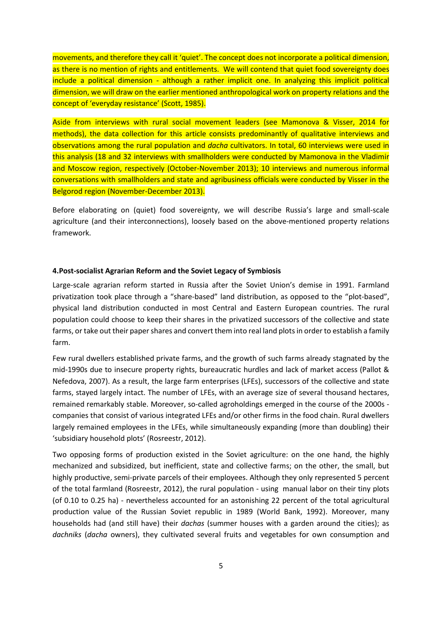movements, and therefore they call it 'quiet'. The concept does not incorporate a political dimension, as there is no mention of rights and entitlements. We will contend that quiet food sovereignty does include a political dimension - although a rather implicit one. In analyzing this implicit political dimension, we will draw on the earlier mentioned anthropological work on property relations and the concept of 'everyday resistance' (Scott, 1985).

Aside from interviews with rural social movement leaders (see Mamonova & Visser, 2014 for methods), the data collection for this article consists predominantly of qualitative interviews and observations among the rural population and *dacha* cultivators. In total, 60 interviews were used in this analysis (18 and 32 interviews with smallholders were conducted by Mamonova in the Vladimir and Moscow region, respectively (October-November 2013); 10 interviews and numerous informal conversations with smallholders and state and agribusiness officials were conducted by Visser in the Belgorod region (November-December 2013).

Before elaborating on (quiet) food sovereignty, we will describe Russia's large and small-scale agriculture (and their interconnections), loosely based on the above-mentioned property relations framework.

#### **4.Post-socialist Agrarian Reform and the Soviet Legacy of Symbiosis**

Large-scale agrarian reform started in Russia after the Soviet Union's demise in 1991. Farmland privatization took place through a "share-based" land distribution, as opposed to the "plot-based", physical land distribution conducted in most Central and Eastern European countries. The rural population could choose to keep their shares in the privatized successors of the collective and state farms, or take out their paper shares and convert them into real land plots in order to establish a family farm.

Few rural dwellers established private farms, and the growth of such farms already stagnated by the mid-1990s due to insecure property rights, bureaucratic hurdles and lack of market access (Pallot & Nefedova, 2007). As a result, the large farm enterprises (LFEs), successors of the collective and state farms, stayed largely intact. The number of LFEs, with an average size of several thousand hectares, remained remarkably stable. Moreover, so-called agroholdings emerged in the course of the 2000s companies that consist of various integrated LFEs and/or other firms in the food chain. Rural dwellers largely remained employees in the LFEs, while simultaneously expanding (more than doubling) their 'subsidiary household plots' (Rosreestr, 2012).

Two opposing forms of production existed in the Soviet agriculture: on the one hand, the highly mechanized and subsidized, but inefficient, state and collective farms; on the other, the small, but highly productive, semi-private parcels of their employees. Although they only represented 5 percent of the total farmland (Rosreestr, 2012), the rural population - using manual labor on their tiny plots (of 0.10 to 0.25 ha) - nevertheless accounted for an astonishing 22 percent of the total agricultural production value of the Russian Soviet republic in 1989 (World Bank, 1992). Moreover, many households had (and still have) their *dachas* (summer houses with a garden around the cities); as *dachniks* (*dacha* owners), they cultivated several fruits and vegetables for own consumption and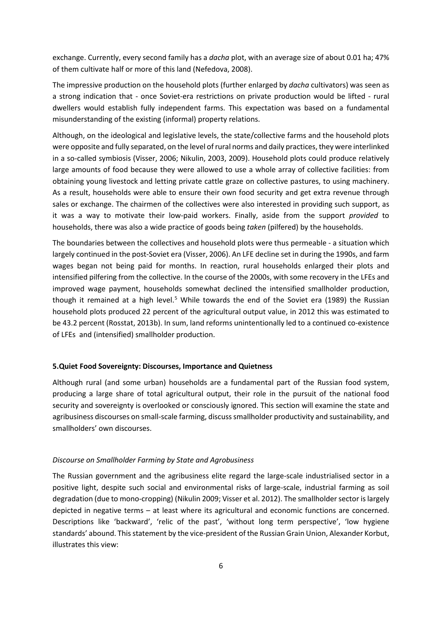exchange. Currently, every second family has a *dacha* plot, with an average size of about 0.01 ha; 47% of them cultivate half or more of this land (Nefedova, 2008).

The impressive production on the household plots (further enlarged by *dacha* cultivators) was seen as a strong indication that - once Soviet-era restrictions on private production would be lifted - rural dwellers would establish fully independent farms. This expectation was based on a fundamental misunderstanding of the existing (informal) property relations.

Although, on the ideological and legislative levels, the state/collective farms and the household plots were opposite and fully separated, on the level of rural norms and daily practices, they were interlinked in a so-called symbiosis (Visser, 2006; Nikulin, 2003, 2009). Household plots could produce relatively large amounts of food because they were allowed to use a whole array of collective facilities: from obtaining young livestock and letting private cattle graze on collective pastures, to using machinery. As a result, households were able to ensure their own food security and get extra revenue through sales or exchange. The chairmen of the collectives were also interested in providing such support, as it was a way to motivate their low-paid workers. Finally, aside from the support *provided* to households, there was also a wide practice of goods being *taken* (pilfered) by the households.

The boundaries between the collectives and household plots were thus permeable - a situation which largely continued in the post-Soviet era (Visser, 2006). An LFE decline set in during the 1990s, and farm wages began not being paid for months. In reaction, rural households enlarged their plots and intensified pilfering from the collective. In the course of the 2000s, with some recovery in the LFEs and improved wage payment, households somewhat declined the intensified smallholder production, though it remained at a high level.<sup>[5](#page-15-4)</sup> While towards the end of the Soviet era (1989) the Russian household plots produced 22 percent of the agricultural output value, in 2012 this was estimated to be 43.2 percent (Rosstat, 2013b). In sum, land reforms unintentionally led to a continued co-existence of LFEs and (intensified) smallholder production.

#### **5.Quiet Food Sovereignty: Discourses, Importance and Quietness**

Although rural (and some urban) households are a fundamental part of the Russian food system, producing a large share of total agricultural output, their role in the pursuit of the national food security and sovereignty is overlooked or consciously ignored. This section will examine the state and agribusiness discourses on small-scale farming, discuss smallholder productivity and sustainability, and smallholders' own discourses.

## *Discourse on Smallholder Farming by State and Agrobusiness*

The Russian government and the agribusiness elite regard the large-scale industrialised sector in a positive light, despite such social and environmental risks of large-scale, industrial farming as soil degradation (due to mono-cropping) (Nikulin 2009; Visser et al. 2012). The smallholder sector is largely depicted in negative terms – at least where its agricultural and economic functions are concerned. Descriptions like 'backward', 'relic of the past', 'without long term perspective', 'low hygiene standards' abound. This statement by the vice-president of the Russian Grain Union, Alexander Korbut, illustrates this view: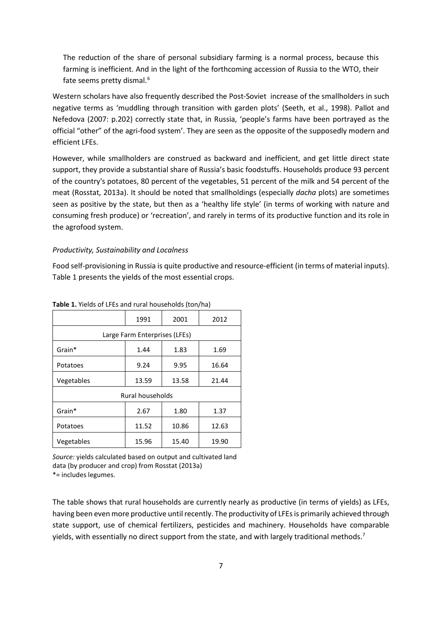The reduction of the share of personal subsidiary farming is a normal process, because this farming is inefficient. And in the light of the forthcoming accession of Russia to the WTO, their fate seems pretty dismal.<sup>6</sup>

Western scholars have also frequently described the Post-Soviet increase of the smallholders in such negative terms as 'muddling through transition with garden plots' (Seeth, et al., 1998). Pallot and Nefedova (2007: p.202) correctly state that, in Russia, 'people's farms have been portrayed as the official "other" of the agri-food system'. They are seen as the opposite of the supposedly modern and efficient LFEs.

However, while smallholders are construed as backward and inefficient, and get little direct state support, they provide a substantial share of Russia's basic foodstuffs. Households produce 93 percent of the country's potatoes, 80 percent of the vegetables, 51 percent of the milk and 54 percent of the meat (Rosstat, 2013a). It should be noted that smallholdings (especially *dacha* plots) are sometimes seen as positive by the state, but then as a 'healthy life style' (in terms of working with nature and consuming fresh produce) or 'recreation', and rarely in terms of its productive function and its role in the agrofood system.

### *Productivity, Sustainability and Localness*

Food self-provisioning in Russia is quite productive and resource-efficient (in terms of material inputs). Table 1 presents the yields of the most essential crops.

|                               | 1991  | 2001  | 2012  |
|-------------------------------|-------|-------|-------|
| Large Farm Enterprises (LFEs) |       |       |       |
| Grain*                        | 1.44  | 1.83  | 1.69  |
| Potatoes                      | 9.24  | 9.95  | 16.64 |
| Vegetables                    | 13.59 | 13.58 | 21.44 |
| <b>Rural households</b>       |       |       |       |
| Grain*                        | 2.67  | 1.80  | 1.37  |
| Potatoes                      | 11.52 | 10.86 | 12.63 |
| Vegetables                    | 15.96 | 15.40 | 19.90 |

#### **Table 1.** Yields of LFEs and rural households (ton/ha)

*Source:* yields calculated based on output and cultivated land data (by producer and crop) from Rosstat (2013a)

\*= includes legumes.

The table shows that rural households are currently nearly as productive (in terms of yields) as LFEs, having been even more productive until recently. The productivity of LFEs is primarily achieved through state support, use of chemical fertilizers, pesticides and machinery. Households have comparable yields, with essentially no direct support from the state, and with largely traditional methods.<sup>[7](#page-15-6)</sup>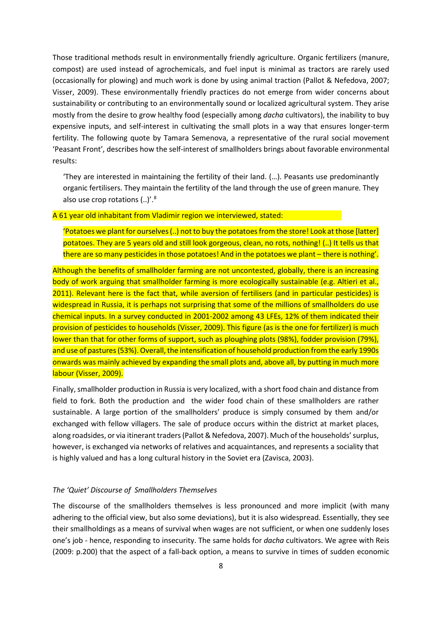Those traditional methods result in environmentally friendly agriculture. Organic fertilizers (manure, compost) are used instead of agrochemicals, and fuel input is minimal as tractors are rarely used (occasionally for plowing) and much work is done by using animal traction (Pallot & Nefedova, 2007; Visser, 2009). These environmentally friendly practices do not emerge from wider concerns about sustainability or contributing to an environmentally sound or localized agricultural system. They arise mostly from the desire to grow healthy food (especially among *dacha* cultivators), the inability to buy expensive inputs, and self-interest in cultivating the small plots in a way that ensures longer-term fertility. The following quote by Tamara Semenova, a representative of the rural social movement 'Peasant Front', describes how the self-interest of smallholders brings about favorable environmental results:

'They are interested in maintaining the fertility of their land. (…). Peasants use predominantly organic fertilisers. They maintain the fertility of the land through the use of green manure*.* They also use crop rotations (..)'.[8](#page-15-7)

A 61 year old inhabitant from Vladimir region we interviewed, stated:

'Potatoes we plant for ourselves (..) not to buy the potatoes from the store! Look at those [latter] potatoes. They are 5 years old and still look gorgeous, clean, no rots, nothing! (..) It tells us that there are so many pesticides in those potatoes! And in the potatoes we plant – there is nothing'.

Although the benefits of smallholder farming are not uncontested, globally, there is an increasing body of work arguing that smallholder farming is more ecologically sustainable (e.g. Altieri et al., 2011). Relevant here is the fact that, while aversion of fertilisers (and in particular pesticides) is widespread in Russia, it is perhaps not surprising that some of the millions of smallholders do use chemical inputs. In a survey conducted in 2001-2002 among 43 LFEs, 12% of them indicated their provision of pesticides to households (Visser, 2009). This figure (as is the one for fertilizer) is much lower than that for other forms of support, such as ploughing plots (98%), fodder provision (79%), and use of pastures (53%). Overall, the intensification of household production from the early 1990s onwards was mainly achieved by expanding the small plots and, above all, by putting in much more labour (Visser, 2009).

Finally, smallholder production in Russia is very localized, with a short food chain and distance from field to fork. Both the production and the wider food chain of these smallholders are rather sustainable. A large portion of the smallholders' produce is simply consumed by them and/or exchanged with fellow villagers. The sale of produce occurs within the district at market places, along roadsides, or via itinerant traders (Pallot & Nefedova, 2007). Much of the households' surplus, however, is exchanged via networks of relatives and acquaintances, and represents a sociality that is highly valued and has a long cultural history in the Soviet era (Zavisca, 2003).

#### *The 'Quiet' Discourse of Smallholders Themselves*

The discourse of the smallholders themselves is less pronounced and more implicit (with many adhering to the official view, but also some deviations), but it is also widespread. Essentially, they see their smallholdings as a means of survival when wages are not sufficient, or when one suddenly loses one's job - hence, responding to insecurity. The same holds for *dacha* cultivators. We agree with Reis (2009: p.200) that the aspect of a fall-back option, a means to survive in times of sudden economic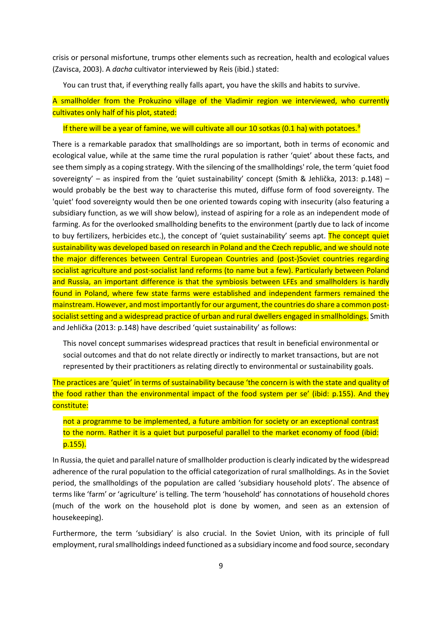crisis or personal misfortune, trumps other elements such as recreation, health and ecological values (Zavisca, 2003). A *dacha* cultivator interviewed by Reis (ibid.) stated:

You can trust that, if everything really falls apart, you have the skills and habits to survive.

A smallholder from the Prokuzino village of the Vladimir region we interviewed, who currently cultivates only half of his plot, stated:

If there will be a year of famine, we will cultivate all our 10 sotkas (0.1 ha) with potatoes.<sup>[9](#page-15-8)</sup>

There is a remarkable paradox that smallholdings are so important, both in terms of economic and ecological value, while at the same time the rural population is rather 'quiet' about these facts, and see them simply as a coping strategy. With the silencing of the smallholdings' role, the term 'quiet food sovereignty' – as inspired from the 'quiet sustainability' concept (Smith & Jehlička, 2013: p.148) – would probably be the best way to characterise this muted, diffuse form of food sovereignty. The 'quiet' food sovereignty would then be one oriented towards coping with insecurity (also featuring a subsidiary function, as we will show below), instead of aspiring for a role as an independent mode of farming. As for the overlooked smallholding benefits to the environment (partly due to lack of income to buy fertilizers, herbicides etc.), the concept of 'quiet sustainability' seems apt. The concept quiet sustainability was developed based on research in Poland and the Czech republic, and we should note the major differences between Central European Countries and (post-)Soviet countries regarding socialist agriculture and post-socialist land reforms (to name but a few). Particularly between Poland and Russia, an important difference is that the symbiosis between LFEs and smallholders is hardly found in Poland, where few state farms were established and independent farmers remained the mainstream. However, and most importantly for our argument, the countries do share a common postsocialist setting and a widespread practice of urban and rural dwellers engaged in smallholdings. Smith and Jehlička (2013: p.148) have described 'quiet sustainability' as follows:

This novel concept summarises widespread practices that result in beneficial environmental or social outcomes and that do not relate directly or indirectly to market transactions, but are not represented by their practitioners as relating directly to environmental or sustainability goals.

The practices are 'quiet' in terms of sustainability because 'the concern is with the state and quality of the food rather than the environmental impact of the food system per se' (ibid: p.155). And they constitute:

not a programme to be implemented, a future ambition for society or an exceptional contrast to the norm. Rather it is a quiet but purposeful parallel to the market economy of food (ibid: p.155).

In Russia, the quiet and parallel nature of smallholder production is clearly indicated by the widespread adherence of the rural population to the official categorization of rural smallholdings. As in the Soviet period, the smallholdings of the population are called 'subsidiary household plots'. The absence of terms like 'farm' or 'agriculture' is telling. The term 'household' has connotations of household chores (much of the work on the household plot is done by women, and seen as an extension of housekeeping).

Furthermore, the term 'subsidiary' is also crucial. In the Soviet Union, with its principle of full employment, rural smallholdings indeed functioned as a subsidiary income and food source, secondary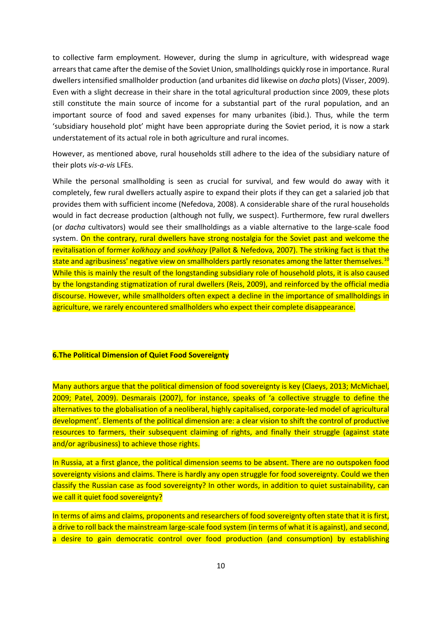to collective farm employment. However, during the slump in agriculture, with widespread wage arrears that came after the demise of the Soviet Union, smallholdings quickly rose in importance. Rural dwellers intensified smallholder production (and urbanites did likewise on *dacha* plots) (Visser, 2009). Even with a slight decrease in their share in the total agricultural production since 2009, these plots still constitute the main source of income for a substantial part of the rural population, and an important source of food and saved expenses for many urbanites (ibid.). Thus, while the term 'subsidiary household plot' might have been appropriate during the Soviet period, it is now a stark understatement of its actual role in both agriculture and rural incomes.

However, as mentioned above, rural households still adhere to the idea of the subsidiary nature of their plots *vis-a-vis* LFEs.

While the personal smallholding is seen as crucial for survival, and few would do away with it completely, few rural dwellers actually aspire to expand their plots if they can get a salaried job that provides them with sufficient income (Nefedova, 2008). A considerable share of the rural households would in fact decrease production (although not fully, we suspect). Furthermore, few rural dwellers (or *dacha* cultivators) would see their smallholdings as a viable alternative to the large-scale food system. On the contrary, rural dwellers have strong nostalgia for the Soviet past and welcome the revitalisation of former *kolkhozy* and *sovkhozy* (Pallot & Nefedova, 2007). The striking fact is that the state and agribusiness' negative view on smallholders partly resonates among the latter themselves.<sup>[10](#page-15-9)</sup> While this is mainly the result of the longstanding subsidiary role of household plots, it is also caused by the longstanding stigmatization of rural dwellers (Reis, 2009), and reinforced by the official media discourse. However, while smallholders often expect a decline in the importance of smallholdings in agriculture, we rarely encountered smallholders who expect their complete disappearance.

## **6.The Political Dimension of Quiet Food Sovereignty**

Many authors argue that the political dimension of food sovereignty is key (Claeys, 2013; McMichael, 2009; Patel, 2009). Desmarais (2007), for instance, speaks of 'a collective struggle to define the alternatives to the globalisation of a neoliberal, highly capitalised, corporate-led model of agricultural development'. Elements of the political dimension are: a clear vision to shift the control of productive resources to farmers, their subsequent claiming of rights, and finally their struggle (against state and/or agribusiness) to achieve those rights.

In Russia, at a first glance, the political dimension seems to be absent. There are no outspoken food sovereignty visions and claims. There is hardly any open struggle for food sovereignty. Could we then classify the Russian case as food sovereignty? In other words, in addition to quiet sustainability, can we call it quiet food sovereignty?

In terms of aims and claims, proponents and researchers of food sovereignty often state that it is first, a drive to roll back the mainstream large-scale food system (in terms of what it is against), and second, a desire to gain democratic control over food production (and consumption) by establishing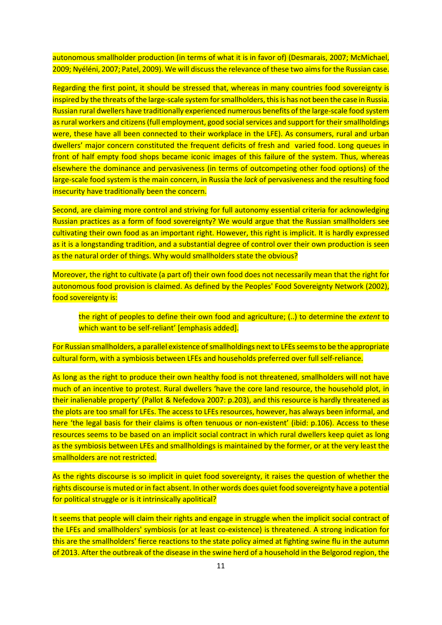autonomous smallholder production (in terms of what it is in favor of) (Desmarais, 2007; McMichael, 2009; Nyéléni, 2007; Patel, 2009). We will discuss the relevance of these two aims for the Russian case.

Regarding the first point, it should be stressed that, whereas in many countries food sovereignty is inspired by the threats of the large-scale system for smallholders, this is has not been the case in Russia. Russian rural dwellers have traditionally experienced numerous benefits of the large-scale food system as rural workers and citizens (full employment, good social services and support for their smallholdings were, these have all been connected to their workplace in the LFE). As consumers, rural and urban dwellers' major concern constituted the frequent deficits of fresh and varied food. Long queues in front of half empty food shops became iconic images of this failure of the system. Thus, whereas elsewhere the dominance and pervasiveness (in terms of outcompeting other food options) of the large-scale food system is the main concern, in Russia the *lack* of pervasiveness and the resulting food insecurity have traditionally been the concern.

Second, are claiming more control and striving for full autonomy essential criteria for acknowledging Russian practices as a form of food sovereignty? We would argue that the Russian smallholders see cultivating their own food as an important right. However, this right is implicit. It is hardly expressed as it is a longstanding tradition, and a substantial degree of control over their own production is seen as the natural order of things. Why would smallholders state the obvious?

Moreover, the right to cultivate (a part of) their own food does not necessarily mean that the right for autonomous food provision is claimed. As defined by the Peoples' Food Sovereignty Network (2002), food sovereignty is:

the right of peoples to define their own food and agriculture; (..) to determine the *extent* to which want to be self-reliant' [emphasis added].

For Russian smallholders, a parallel existence of smallholdings next to LFEs seems to be the appropriate cultural form, with a symbiosis between LFEs and households preferred over full self-reliance.

As long as the right to produce their own healthy food is not threatened, smallholders will not have much of an incentive to protest. Rural dwellers 'have the core land resource, the household plot, in their inalienable property' (Pallot & Nefedova 2007: p.203), and this resource is hardly threatened as the plots are too small for LFEs. The access to LFEs resources, however, has always been informal, and here 'the legal basis for their claims is often tenuous or non-existent' (ibid: p.106). Access to these resources seems to be based on an implicit social contract in which rural dwellers keep quiet as long as the symbiosis between LFEs and smallholdings is maintained by the former, or at the very least the smallholders are not restricted.

As the rights discourse is so implicit in quiet food sovereignty, it raises the question of whether the rights discourse is muted or in fact absent. In other words does quiet food sovereignty have a potential for political struggle or is it intrinsically apolitical?

It seems that people will claim their rights and engage in struggle when the implicit social contract of the LFEs and smallholders' symbiosis (or at least co-existence) is threatened. A strong indication for this are the smallholders' fierce reactions to the state policy aimed at fighting swine flu in the autumn of 2013. After the outbreak of the disease in the swine herd of a household in the Belgorod region, the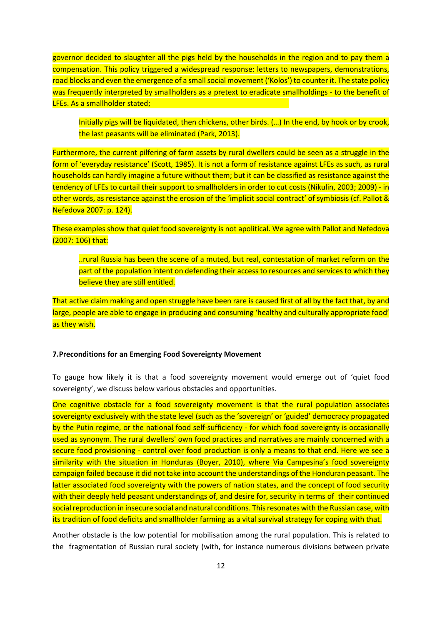governor decided to slaughter all the pigs held by the households in the region and to pay them a compensation. This policy triggered a widespread response: letters to newspapers, demonstrations, road blocks and even the emergence of a small social movement ('Kolos') to counter it. The state policy was frequently interpreted by smallholders as a pretext to eradicate smallholdings - to the benefit of LFEs. As a smallholder stated;

Initially pigs will be liquidated, then chickens, other birds. (…) In the end, by hook or by crook, the last peasants will be eliminated (Park, 2013).

Furthermore, the current pilfering of farm assets by rural dwellers could be seen as a struggle in the form of 'everyday resistance' (Scott, 1985). It is not a form of resistance against LFEs as such, as rural households can hardly imagine a future without them; but it can be classified as resistance against the tendency of LFEs to curtail their support to smallholders in order to cut costs (Nikulin, 2003; 2009) - in other words, as resistance against the erosion of the 'implicit social contract' of symbiosis (cf. Pallot & Nefedova 2007: p. 124).

These examples show that quiet food sovereignty is not apolitical. We agree with Pallot and Nefedova (2007: 106) that:

..rural Russia has been the scene of a muted, but real, contestation of market reform on the part of the population intent on defending their access to resources and services to which they believe they are still entitled.

That active claim making and open struggle have been rare is caused first of all by the fact that, by and large, people are able to engage in producing and consuming 'healthy and culturally appropriate food' as they wish.

### **7.Preconditions for an Emerging Food Sovereignty Movement**

To gauge how likely it is that a food sovereignty movement would emerge out of 'quiet food sovereignty', we discuss below various obstacles and opportunities.

One cognitive obstacle for a food sovereignty movement is that the rural population associates sovereignty exclusively with the state level (such as the 'sovereign' or 'guided' democracy propagated by the Putin regime, or the national food self-sufficiency - for which food sovereignty is occasionally used as synonym. The rural dwellers' own food practices and narratives are mainly concerned with a secure food provisioning - control over food production is only a means to that end. Here we see a similarity with the situation in Honduras (Boyer, 2010), where Via Campesina's food sovereignty campaign failed because it did not take into account the understandings of the Honduran peasant. The latter associated food sovereignty with the powers of nation states, and the concept of food security with their deeply held peasant understandings of, and desire for, security in terms of their continued social reproduction in insecure social and natural conditions. This resonates with the Russian case, with its tradition of food deficits and smallholder farming as a vital survival strategy for coping with that.

Another obstacle is the low potential for mobilisation among the rural population. This is related to the fragmentation of Russian rural society (with, for instance numerous divisions between private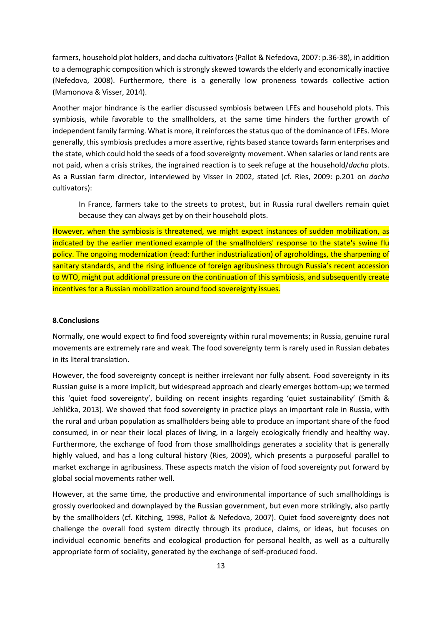farmers, household plot holders, and dacha cultivators (Pallot & Nefedova, 2007: p.36-38), in addition to a demographic composition which is strongly skewed towards the elderly and economically inactive (Nefedova, 2008). Furthermore, there is a generally low proneness towards collective action (Mamonova & Visser, 2014).

Another major hindrance is the earlier discussed symbiosis between LFEs and household plots. This symbiosis, while favorable to the smallholders, at the same time hinders the further growth of independent family farming. What is more, it reinforces the status quo of the dominance of LFEs. More generally, this symbiosis precludes a more assertive, rights based stance towards farm enterprises and the state, which could hold the seeds of a food sovereignty movement. When salaries or land rents are not paid, when a crisis strikes, the ingrained reaction is to seek refuge at the household/*dacha* plots. As a Russian farm director, interviewed by Visser in 2002, stated (cf. Ries, 2009: p.201 on *dacha* cultivators):

In France, farmers take to the streets to protest, but in Russia rural dwellers remain quiet because they can always get by on their household plots.

However, when the symbiosis is threatened, we might expect instances of sudden mobilization, as indicated by the earlier mentioned example of the smallholders' response to the state's swine flu policy. The ongoing modernization (read: further industrialization) of agroholdings, the sharpening of sanitary standards, and the rising influence of foreign agribusiness through Russia's recent accession to WTO, might put additional pressure on the continuation of this symbiosis, and subsequently create incentives for a Russian mobilization around food sovereignty issues.

### **8.Conclusions**

Normally, one would expect to find food sovereignty within rural movements; in Russia, genuine rural movements are extremely rare and weak. The food sovereignty term is rarely used in Russian debates in its literal translation.

However, the food sovereignty concept is neither irrelevant nor fully absent. Food sovereignty in its Russian guise is a more implicit, but widespread approach and clearly emerges bottom-up; we termed this 'quiet food sovereignty', building on recent insights regarding 'quiet sustainability' (Smith & Jehlička, 2013). We showed that food sovereignty in practice plays an important role in Russia, with the rural and urban population as smallholders being able to produce an important share of the food consumed, in or near their local places of living, in a largely ecologically friendly and healthy way. Furthermore, the exchange of food from those smallholdings generates a sociality that is generally highly valued, and has a long cultural history (Ries, 2009), which presents a purposeful parallel to market exchange in agribusiness. These aspects match the vision of food sovereignty put forward by global social movements rather well.

However, at the same time, the productive and environmental importance of such smallholdings is grossly overlooked and downplayed by the Russian government, but even more strikingly, also partly by the smallholders (cf. Kitching, 1998, Pallot & Nefedova, 2007). Quiet food sovereignty does not challenge the overall food system directly through its produce, claims, or ideas, but focuses on individual economic benefits and ecological production for personal health, as well as a culturally appropriate form of sociality, generated by the exchange of self-produced food.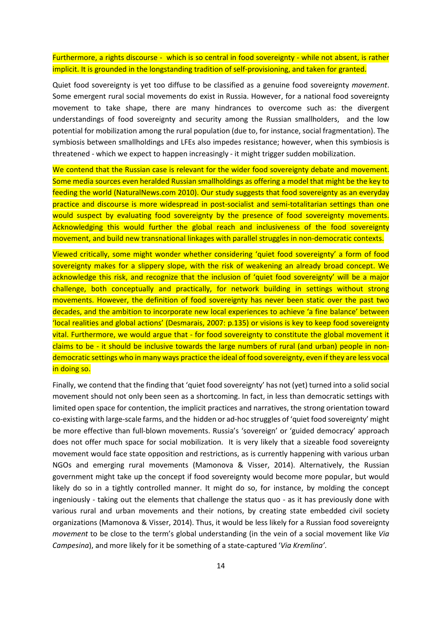Furthermore, a rights discourse - which is so central in food sovereignty - while not absent, is rather implicit. It is grounded in the longstanding tradition of self-provisioning, and taken for granted.

Quiet food sovereignty is yet too diffuse to be classified as a genuine food sovereignty *movement*. Some emergent rural social movements do exist in Russia. However, for a national food sovereignty movement to take shape, there are many hindrances to overcome such as: the divergent understandings of food sovereignty and security among the Russian smallholders, and the low potential for mobilization among the rural population (due to, for instance, social fragmentation). The symbiosis between smallholdings and LFEs also impedes resistance; however, when this symbiosis is threatened - which we expect to happen increasingly - it might trigger sudden mobilization.

We contend that the Russian case is relevant for the wider food sovereignty debate and movement. Some media sources even heralded Russian smallholdings as offering a model that might be the key to feeding the world (NaturalNews.com 2010). Our study suggests that food sovereignty as an everyday practice and discourse is more widespread in post-socialist and semi-totalitarian settings than one would suspect by evaluating food sovereignty by the presence of food sovereignty movements. Acknowledging this would further the global reach and inclusiveness of the food sovereignty movement, and build new transnational linkages with parallel struggles in non-democratic contexts.

Viewed critically, some might wonder whether considering 'quiet food sovereignty' a form of food sovereignty makes for a slippery slope, with the risk of weakening an already broad concept. We acknowledge this risk, and recognize that the inclusion of 'quiet food sovereignty' will be a major challenge, both conceptually and practically, for network building in settings without strong movements. However, the definition of food sovereignty has never been static over the past two decades, and the ambition to incorporate new local experiences to achieve 'a fine balance' between 'local realities and global actions' (Desmarais, 2007: p.135) or visions is key to keep food sovereignty vital. Furthermore, we would argue that - for food sovereignty to constitute the global movement it claims to be - it should be inclusive towards the large numbers of rural (and urban) people in nondemocratic settings who in many ways practice the ideal of food sovereignty, even if they are less vocal in doing so.

Finally, we contend that the finding that 'quiet food sovereignty' has not (yet) turned into a solid social movement should not only been seen as a shortcoming. In fact, in less than democratic settings with limited open space for contention, the implicit practices and narratives, the strong orientation toward co-existing with large-scale farms, and the hidden or ad-hoc struggles of 'quiet food sovereignty' might be more effective than full-blown movements. Russia's 'sovereign' or 'guided democracy' approach does not offer much space for social mobilization. It is very likely that a sizeable food sovereignty movement would face state opposition and restrictions, as is currently happening with various urban NGOs and emerging rural movements (Mamonova & Visser, 2014). Alternatively, the Russian government might take up the concept if food sovereignty would become more popular, but would likely do so in a tightly controlled manner. It might do so, for instance, by molding the concept ingeniously - taking out the elements that challenge the status quo - as it has previously done with various rural and urban movements and their notions, by creating state embedded civil society organizations (Mamonova & Visser, 2014). Thus, it would be less likely for a Russian food sovereignty *movement* to be close to the term's global understanding (in the vein of a social movement like *Via Campesina*), and more likely for it be something of a state-captured '*Via Kremlina'*.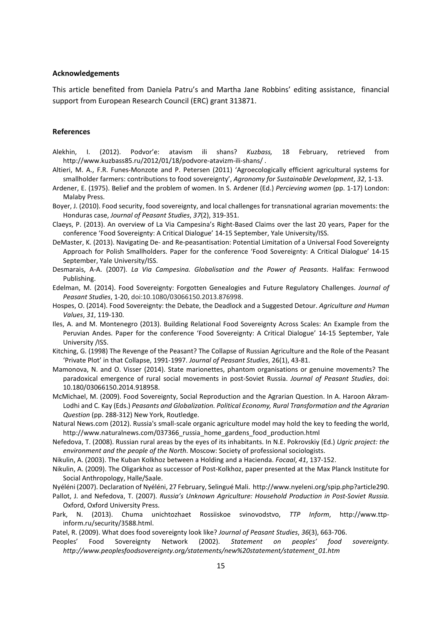## **Acknowledgements**

This article benefited from Daniela Patru's and Martha Jane Robbins' editing assistance, financial support from European Research Council (ERC) grant 313871.

#### **References**

- Alekhin, I. (2012). Podvor'e: atavism ili shans? *Kuzbass,* 18 February, retrieved from <http://www.kuzbass85.ru/2012/01/18/podvore-atavizm-ili-shans/> .
- Altieri, M. A., F.R. Funes-Monzote and P. Petersen (2011) 'Agroecologically efficient agricultural systems for smallholder farmers: contributions to food sovereignty', *Agronomy for Sustainable Development*, *32*, 1-13.
- Ardener, E. (1975). Belief and the problem of women. In S. Ardener (Ed.) *Percieving women* (pp. 1-17) London: Malaby Press.
- Boyer, J. (2010). Food security, food sovereignty, and local challenges for transnational agrarian movements: the Honduras case, *Journal of Peasant Studies*, *37*(2), 319-351.
- Claeys, P. (2013). An overview of La Via Campesina's Right-Based Claims over the last 20 years, Paper for the conference 'Food Sovereignty: A Critical Dialogue' 14-15 September, Yale University/ISS.
- DeMaster, K. (2013). Navigating De- and Re-peasantisation: Potential Limitation of a Universal Food Sovereignty Approach for Polish Smallholders. Paper for the conference 'Food Sovereignty: A Critical Dialogue' 14-15 September, Yale University/ISS.
- Desmarais, A-A. (2007). *La Via Campesina. Globalisation and the Power of Peasants*. Halifax: Fernwood Publishing.
- Edelman, M. (2014). Food Sovereignty: Forgotten Genealogies and Future Regulatory Challenges. *Journal of Peasant Studies*, 1-20, doi:10.1080/03066150.2013.876998.
- Hospes, O. (2014). Food Sovereignty: the Debate, the Deadlock and a Suggested Detour. *Agriculture and Human Values*, *31*, 119-130.
- Iles, A. and M. Montenegro (2013). Building Relational Food Sovereignty Across Scales: An Example from the Peruvian Andes. Paper for the conference 'Food Sovereignty: A Critical Dialogue' 14-15 September, Yale University /ISS.
- Kitching, G. (1998) The Revenge of the Peasant? The Collapse of Russian Agriculture and the Role of the Peasant 'Private Plot' in that Collapse, 1991-1997. *Journal of Peasant Studies*, 26(1), 43-81.
- Mamonova, N. and O. Visser (2014). State marionettes, phantom organisations or genuine movements? The paradoxical emergence of rural social movements in post-Soviet Russia. *Journal of Peasant Studies*, doi: 10.180/03066150.2014.918958.
- McMichael, M. (2009). Food Sovereignty, Social Reproduction and the Agrarian Question. In A. Haroon Akram-Lodhi and C. Kay (Eds.) *Peasants and Globalization. Political Economy, Rural Transformation and the Agrarian Question* (pp. 288-312) New York, Routledge.
- Natural News.com (2012). Russia's small-scale organic agriculture model may hold the key to feeding the world, http://www.naturalnews.com/037366\_russia\_home\_gardens\_food\_production.html
- Nefedova, T. (2008). Russian rural areas by the eyes of its inhabitants. In N.E. Pokrovskiy (Ed.) *Ugric project: the environment and the people of the North*. Moscow: Society of professional sociologists.
- Nikulin, A. (2003). The Kuban Kolkhoz between a Holding and a Hacienda. *Focaal*, *41*, 137-152.
- Nikulin, A. (2009). The Oligarkhoz as successor of Post-Kolkhoz, paper presented at the Max Planck Institute for Social Anthropology, Halle/Saale.
- Nyéléni (2007). Declaration of Nyéléni, 27 February, Selingué Mali. http://www.nyeleni.org/spip.php?article290.
- Pallot, J. and Nefedova, T. (2007). *Russia's Unknown Agriculture: Household Production in Post-Soviet Russia.* Oxford, Oxford University Press.
- Park, N. (2013). Chuma unichtozhaet Rossiiskoe svinovodstvo, *TTP Inform*, http://www.ttpinform.ru/security/3588.html.
- Patel, R. (2009). What does food sovereignty look like? *Journal of Peasant Studies*, *36*(3), 663-706.
- Peoples' Food Sovereignty Network (2002). *Statement on peoples' food sovereignty. http://www.peoplesfoodsovereignty.org/statements/new%20statement/statement\_01.htm*